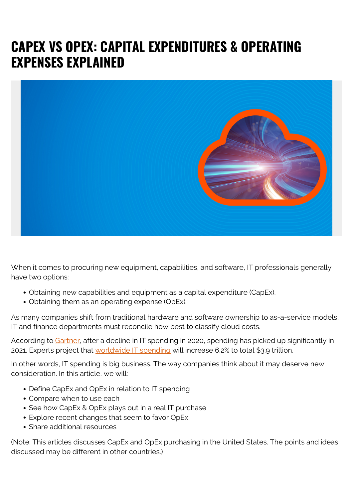# **CAPEX VS OPEX: CAPITAL EXPENDITURES & OPERATING EXPENSES EXPLAINED**



When it comes to procuring new equipment, capabilities, and software, IT professionals generally have two options:

- Obtaining new capabilities and equipment as a capital expenditure (CapEx).
- Obtaining them as an operating expense (OpEx).

As many companies shift from traditional hardware and software ownership to as-a-service models, IT and finance departments must reconcile how best to classify cloud costs.

According to [Gartner,](https://www.gartner.com/en/newsroom/press-releases/2020-01-25-gartner-forecasts-worldwide-it-spending-to-grow-6-point-2-percent-in-2021) after a decline in IT spending in 2020, spending has picked up significantly in 2021. Experts project that [worldwide IT spending](https://blogs.bmc.com/blogs/it-spending/) will increase 6.2% to total \$3.9 trillion.

In other words, IT spending is big business. The way companies think about it may deserve new consideration. In this article, we will:

- Define CapEx and OpEx in relation to IT spending
- Compare when to use each
- See how CapEx & OpEx plays out in a real IT purchase
- Explore recent changes that seem to favor OpEx
- Share additional resources

(Note: This articles discusses CapEx and OpEx purchasing in the United States. The points and ideas discussed may be different in other countries.)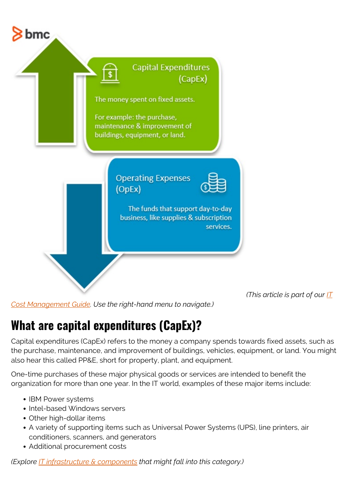

*(This article is part of our [IT](https://blogs.bmc.com/blogs/it-budget-management/)*

*[Cost Management Guide](https://blogs.bmc.com/blogs/it-budget-management/). Use the right-hand menu to navigate.)*

## **What are capital expenditures (CapEx)?**

Capital expenditures (CapEx) refers to the money a company spends towards fixed assets, such as the purchase, maintenance, and improvement of buildings, vehicles, equipment, or land. You might also hear this called PP&E, short for property, plant, and equipment.

One-time purchases of these major physical goods or services are intended to benefit the organization for more than one year. In the IT world, examples of these major items include:

- IBM Power systems
- Intel-based Windows servers
- Other high-dollar items
- A variety of supporting items such as Universal Power Systems (UPS), line printers, air conditioners, scanners, and generators
- Additional procurement costs

*(Explore [IT infrastructure & components](https://blogs.bmc.com/blogs/what-is-it-infrastructure-and-what-are-its-components/) that might fall into this category.)*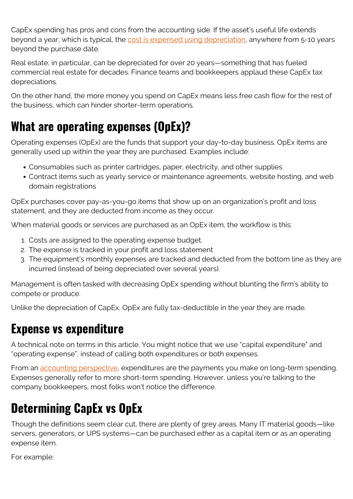CapEx spending has pros and cons from the accounting side. If the asset's useful life extends beyond a year, which is typical, the [cost is expensed using depreciation](https://www.investopedia.com/ask/answers/020915/what-difference-between-capex-and-opex.asp?ad=dirN&qo=investopediaSiteSearch&qsrc=0&o=40186), anywhere from 5-10 years beyond the purchase date.

Real estate, in particular, can be depreciated for over 20 years—something that has fueled commercial real estate for decades. Finance teams and bookkeepers applaud these CapEx tax depreciations.

On the other hand, the more money you spend on CapEx means less free cash flow for the rest of the business, which can hinder shorter-term operations.

# **What are operating expenses (OpEx)?**

Operating expenses (OpEx) are the funds that support your day-to-day business. OpEx items are generally used up within the year they are purchased. Examples include:

- Consumables such as printer cartridges, paper, electricity, and other supplies
- Contract items such as yearly service or maintenance agreements, website hosting, and web domain registrations

OpEx purchases cover pay-as-you-go items that show up on an organization's profit and loss statement, and they are deducted from income as they occur.

When material goods or services are purchased as an OpEx item, the workflow is this:

- 1. Costs are assigned to the operating expense budget.
- 2. The expense is tracked in your profit and loss statement
- 3. The equipment's monthly expenses are tracked and deducted from the bottom line as they are incurred (instead of being depreciated over several years).

Management is often tasked with decreasing OpEx spending without blunting the firm's ability to compete or produce.

Unlike the depreciation of CapEx, OpEx are fully tax-deductible in the year they are made.

### **Expense vs expenditure**

A technical note on terms in this article. You might notice that we use "capital expenditure" and "operating expense", instead of calling both expenditures or both expenses.

From an [accounting perspective,](https://www.indeed.com/career-advice/career-development/expenditures-vs-expenses) expenditures are the payments you make on long-term spending. Expenses generally refer to more short-term spending. However, unless you're talking to the company bookkeepers, most folks won't notice the difference.

## **Determining CapEx vs OpEx**

Though the definitions seem clear cut, there are plenty of grey areas. Many IT material goods—like servers, generators, or UPS systems—can be purchased *either* as a capital item or as an operating expense item.

For example: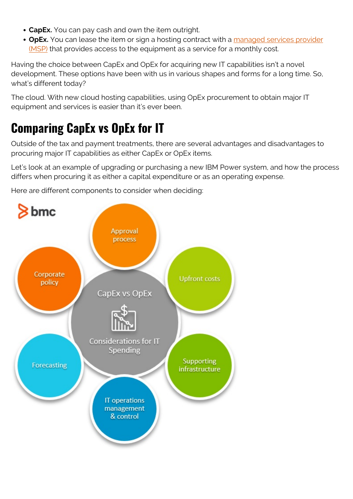- **CapEx.** You can pay cash and own the item outright.
- OpEx. You can lease the item or sign a hosting contract with a [managed services provider](https://blogs.bmc.com/blogs/what-is-a-managed-service-managed-services-explained/) [\(MSP\)](https://blogs.bmc.com/blogs/what-is-a-managed-service-managed-services-explained/) that provides access to the equipment as a service for a monthly cost.

Having the choice between CapEx and OpEx for acquiring new IT capabilities isn't a novel development. These options have been with us in various shapes and forms for a long time. So, what's different today?

The cloud. With new cloud hosting capabilities, using OpEx procurement to obtain major IT equipment and services is easier than it's ever been.

# **Comparing CapEx vs OpEx for IT**

Outside of the tax and payment treatments, there are several advantages and disadvantages to procuring major IT capabilities as either CapEx or OpEx items.

Let's look at an example of upgrading or purchasing a new IBM Power system, and how the process differs when procuring it as either a capital expenditure or as an operating expense.

Here are different components to consider when deciding:

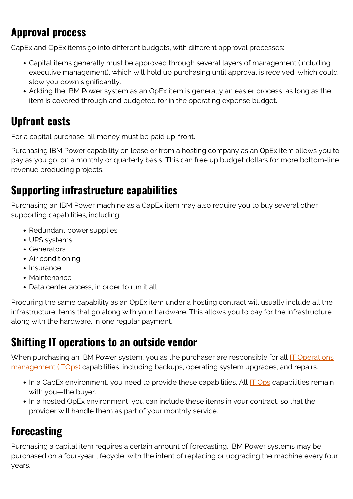## **Approval process**

CapEx and OpEx items go into different budgets, with different approval processes:

- Capital items generally must be approved through several layers of management (including executive management), which will hold up purchasing until approval is received, which could slow you down significantly.
- Adding the IBM Power system as an OpEx item is generally an easier process, as long as the item is covered through and budgeted for in the operating expense budget.

### **Upfront costs**

For a capital purchase, all money must be paid up-front.

Purchasing IBM Power capability on lease or from a hosting company as an OpEx item allows you to pay as you go, on a monthly or quarterly basis. This can free up budget dollars for more bottom-line revenue producing projects.

#### **Supporting infrastructure capabilities**

Purchasing an IBM Power machine as a CapEx item may also require you to buy several other supporting capabilities, including:

- Redundant power supplies
- UPS systems
- Generators
- Air conditioning
- Insurance
- Maintenance
- Data center access, in order to run it all

Procuring the same capability as an OpEx item under a hosting contract will usually include all the infrastructure items that go along with your hardware. This allows you to pay for the infrastructure along with the hardware, in one regular payment.

#### **Shifting IT operations to an outside vendor**

When purchasing an IBM Power system, you as the purchaser are responsible for all **IT** Operations [management \(ITOps\)](https://blogs.bmc.com/blogs/itops-devops-and-noops-oh-my/) capabilities, including backups, operating system upgrades, and repairs.

- In a CapEx environment, you need to provide these capabilities. All **[IT Ops](https://blogs.bmc.com/blogs/it-operations-best-practices-for-optimizing-the-end-user-experience/)** capabilities remain with you—the buyer.
- In a hosted OpEx environment, you can include these items in your contract, so that the provider will handle them as part of your monthly service.

### **Forecasting**

Purchasing a capital item requires a certain amount of forecasting. IBM Power systems may be purchased on a four-year lifecycle, with the intent of replacing or upgrading the machine every four years.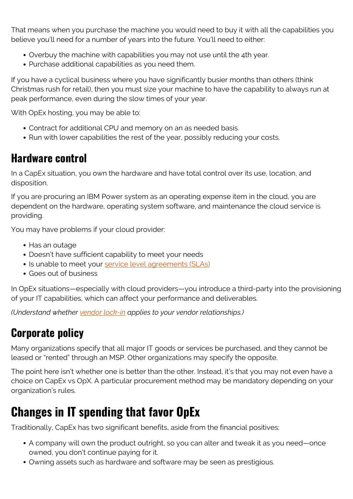That means when you purchase the machine you would need to buy it with all the capabilities you believe you'll need for a number of years into the future. You'll need to either:

- Overbuy the machine with capabilities you may not use until the 4th year.
- Purchase additional capabilities as you need them.

If you have a cyclical business where you have significantly busier months than others (think Christmas rush for retail), then you must size your machine to have the capability to always run at peak performance, even during the slow times of your year.

With OpEx hosting, you may be able to:

- Contract for additional CPU and memory on an as needed basis.
- Run with lower capabilities the rest of the year, possibly reducing your costs.

#### **Hardware control**

In a CapEx situation, you own the hardware and have total control over its use, location, and disposition.

If you are procuring an IBM Power system as an operating expense item in the cloud, you are dependent on the hardware, operating system software, and maintenance the cloud service is providing.

You may have problems if your cloud provider:

- Has an outage
- Doesn't have sufficient capability to meet your needs
- Is unable to meet your [service level agreements \(SLAs\)](https://blogs.bmc.com/blogs/sla-template-examples/)
- Goes out of business

In OpEx situations—especially with cloud providers—you introduce a third-party into the provisioning of your IT capabilities, which can affect your performance and deliverables.

*(Understand whether [vendor lock-in](https://blogs.bmc.com/blogs/vendor-lock-in/) applies to your vendor relationships.)*

### **Corporate policy**

Many organizations specify that all major IT goods or services be purchased, and they cannot be leased or "rented" through an MSP. Other organizations may specify the opposite.

The point here isn't whether one is better than the other. Instead, it's that you may not even have a choice on CapEx vs OpX. A particular procurement method may be mandatory depending on your organization's rules.

## **Changes in IT spending that favor OpEx**

Traditionally, CapEx has two significant benefits, aside from the financial positives:

- A company will own the product outright, so you can alter and tweak it as you need—once owned, you don't continue paying for it.
- Owning assets such as hardware and software may be seen as prestigious.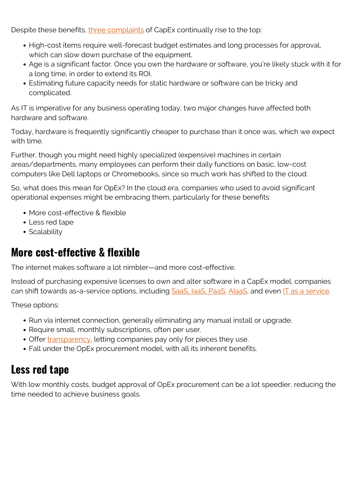Despite these benefits, [three complaints](https://www.mitel.com/blog/why-more-cfos-shifting-it-investment-capex-opex) of CapEx continually rise to the top:

- High-cost items require well-forecast budget estimates and long processes for approval, which can slow down purchase of the equipment.
- Age is a significant factor. Once you own the hardware or software, you're likely stuck with it for a long time, in order to extend its ROI.
- Estimating future capacity needs for static hardware or software can be tricky and complicated.

As IT is imperative for any business operating today, two major changes have affected both hardware and software.

Today, hardware is frequently significantly cheaper to purchase than it once was, which we expect with time.

Further, though you might need highly specialized (expensive) machines in certain areas/departments, many employees can perform their daily functions on basic, low-cost computers like Dell laptops or Chromebooks, since so much work has shifted to the cloud.

So, what does this mean for OpEx? In the cloud era, companies who used to avoid significant operational expenses might be embracing them, particularly for these benefits:

- More cost-effective & flexible
- Less red tape
- Scalability

#### **More cost-effective & flexible**

The internet makes software a lot nimbler—and more cost-effective.

Instead of purchasing expensive licenses to own and alter software in a CapEx model, companies can shift towards as-a-service options, including [SaaS, IaaS, PaaS,](https://blogs.bmc.com/blogs/saas-vs-paas-vs-iaas-whats-the-difference-and-how-to-choose/) [AIaaS,](https://blogs.bmc.com/blogs/ai-as-a-service-aiaas/) and even [IT as a service](https://blogs.bmc.com/blogs/itaas-it-as-a-service/).

These options:

- Run via internet connection, generally eliminating any manual install or upgrade.
- Require small, monthly subscriptions, often per user.
- Offer [transparency,](https://www.zadara.com/blog/2016/09/07/understanding-differences-capex-opex-enterprise-cloud-storage/) letting companies pay only for pieces they use.
- Fall under the OpEx procurement model, with all its inherent benefits.

#### **Less red tape**

With low monthly costs, budget approval of OpEx procurement can be a lot speedier, reducing the time needed to achieve business goals.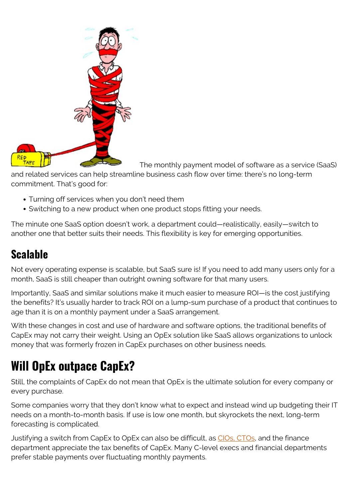

The monthly payment model of software as a service (SaaS)

and related services can help streamline business cash flow over time: there's no long-term commitment. That's good for:

- Turning off services when you don't need them
- Switching to a new product when one product stops fitting your needs.

The minute one SaaS option doesn't work, a department could—realistically, easily—switch to another one that better suits their needs. This flexibility is key for emerging opportunities.

### **Scalable**

Not every operating expense is scalable, but SaaS sure is! If you need to add many users only for a month, SaaS is still cheaper than outright owning software for that many users.

Importantly, SaaS and similar solutions make it much easier to measure ROI—is the cost justifying the benefits? It's usually harder to track ROI on a lump-sum purchase of a product that continues to age than it is on a monthly payment under a SaaS arrangement.

With these changes in cost and use of hardware and software options, the traditional benefits of CapEx may not carry their weight. Using an OpEx solution like SaaS allows organizations to unlock money that was formerly frozen in CapEx purchases on other business needs.

# **Will OpEx outpace CapEx?**

Still, the complaints of CapEx do not mean that OpEx is the ultimate solution for every company or every purchase.

Some companies worry that they don't know what to expect and instead wind up budgeting their IT needs on a month-to-month basis. If use is low one month, but skyrockets the next, long-term forecasting is complicated.

Justifying a switch from CapEx to OpEx can also be difficult, as [CIOs, CTOs,](https://blogs.bmc.com/blogs/cio-vs-cto-whats-the-difference/) and the finance department appreciate the tax benefits of CapEx. Many C-level execs and financial departments prefer stable payments over fluctuating monthly payments.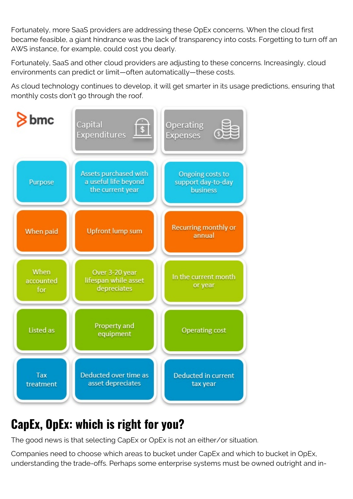Fortunately, more SaaS providers are addressing these OpEx concerns. When the cloud first became feasible, a giant hindrance was the lack of transparency into costs. Forgetting to turn off an AWS instance, for example, could cost you dearly.

Fortunately, SaaS and other cloud providers are adjusting to these concerns. Increasingly, cloud environments can predict or limit—often automatically—these costs.

As cloud technology continues to develop, it will get smarter in its usage predictions, ensuring that monthly costs don't go through the roof.



# **CapEx, OpEx: which is right for you?**

The good news is that selecting CapEx or OpEx is not an either/or situation.

Companies need to choose which areas to bucket under CapEx and which to bucket in OpEx, understanding the trade-offs. Perhaps some enterprise systems must be owned outright and in